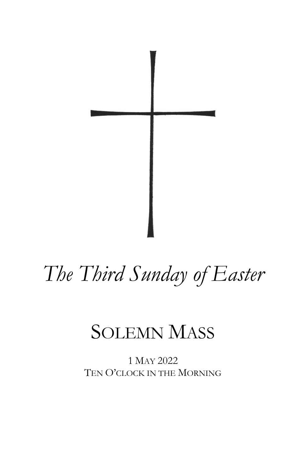

# *The Third Sunday of Easter*

# SOLEMN MASS

1 MAY 2022 TEN O'CLOCK IN THE MORNING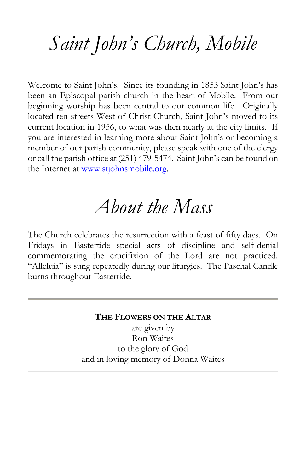# *Saint John's Church, Mobile*

Welcome to Saint John's. Since its founding in 1853 Saint John's has been an Episcopal parish church in the heart of Mobile. From our beginning worship has been central to our common life. Originally located ten streets West of Christ Church, Saint John's moved to its current location in 1956, to what was then nearly at the city limits. If you are interested in learning more about Saint John's or becoming a member of our parish community, please speak with one of the clergy or call the parish office at (251) 479-5474. Saint John's can be found on the Internet at [www.stjohnsmobile.org.](http://www.stjohnsmobile.org/)

# *About the Mass*

The Church celebrates the resurrection with a feast of fifty days. On Fridays in Eastertide special acts of discipline and self-denial commemorating the crucifixion of the Lord are not practiced. "Alleluia" is sung repeatedly during our liturgies. The Paschal Candle burns throughout Eastertide.

> **THE FLOWERS ON THE ALTAR** are given by Ron Waites to the glory of God and in loving memory of Donna Waites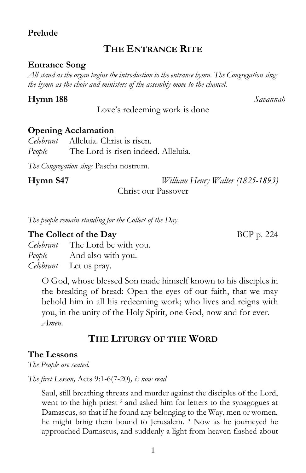# **Prelude**

# **THE ENTRANCE RITE**

#### **Entrance Song**

*All stand as the organ begins the introduction to the entrance hymn. The Congregation sings the hymn as the choir and ministers of the assembly move to the chancel.*

#### **Hymn 188** *Savannah*

Love's redeeming work is done

#### **Opening Acclamation**

*Celebrant* Alleluia. Christ is risen. *People* The Lord is risen indeed. Alleluia.

*The Congregation sings* Pascha nostrum*.*

**Hymn S47** *William Henry Walter (1825-1893)*

Christ our Passover

*The people remain standing for the Collect of the Day.*

# **The Collect of the Day** BCP p. 224

*Celebrant* The Lord be with you. *People* And also with you. *Celebrant* Let us pray.

> O God, whose blessed Son made himself known to his disciples in the breaking of bread: Open the eyes of our faith, that we may behold him in all his redeeming work; who lives and reigns with you, in the unity of the Holy Spirit, one God, now and for ever. *Amen.*

# **THE LITURGY OF THE WORD**

#### **The Lessons**

*The People are seated.*

*The first Lesson,* Acts 9:1-6(7-20)*, is now read*

Saul, still breathing threats and murder against the disciples of the Lord, went to the high priest <sup>2</sup> and asked him for letters to the synagogues at Damascus, so that if he found any belonging to the Way, men or women, he might bring them bound to Jerusalem. <sup>3</sup> Now as he journeyed he approached Damascus, and suddenly a light from heaven flashed about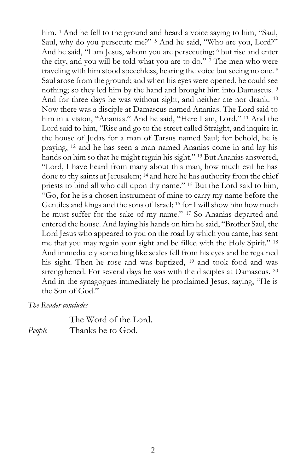him. <sup>4</sup> And he fell to the ground and heard a voice saying to him, "Saul, Saul, why do you persecute me?" <sup>5</sup> And he said, "Who are you, Lord?" And he said, "I am Jesus, whom you are persecuting; <sup>6</sup> but rise and enter the city, and you will be told what you are to do." <sup>7</sup> The men who were traveling with him stood speechless, hearing the voice but seeing no one. <sup>8</sup> Saul arose from the ground; and when his eyes were opened, he could see nothing; so they led him by the hand and brought him into Damascus. <sup>9</sup> And for three days he was without sight, and neither ate nor drank. <sup>10</sup> Now there was a disciple at Damascus named Ananias. The Lord said to him in a vision, "Ananias." And he said, "Here I am, Lord." <sup>11</sup> And the Lord said to him, "Rise and go to the street called Straight, and inquire in the house of Judas for a man of Tarsus named Saul; for behold, he is praying, <sup>12</sup> and he has seen a man named Ananias come in and lay his hands on him so that he might regain his sight."<sup>13</sup> But Ananias answered, "Lord, I have heard from many about this man, how much evil he has done to thy saints at Jerusalem; <sup>14</sup> and here he has authority from the chief priests to bind all who call upon thy name." <sup>15</sup> But the Lord said to him, "Go, for he is a chosen instrument of mine to carry my name before the Gentiles and kings and the sons of Israel; <sup>16</sup> for I will show him how much he must suffer for the sake of my name." <sup>17</sup> So Ananias departed and entered the house. And laying his hands on him he said, "Brother Saul, the Lord Jesus who appeared to you on the road by which you came, has sent me that you may regain your sight and be filled with the Holy Spirit." <sup>18</sup> And immediately something like scales fell from his eyes and he regained his sight. Then he rose and was baptized, <sup>19</sup> and took food and was strengthened. For several days he was with the disciples at Damascus. <sup>20</sup> And in the synagogues immediately he proclaimed Jesus, saying, "He is the Son of God."

*The Reader concludes*

The Word of the Lord. *People* Thanks be to God.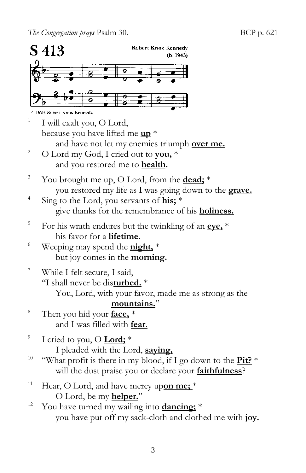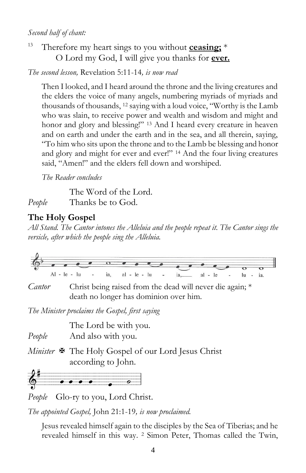## *Second half of chant:*

# <sup>13</sup> Therefore my heart sings to you without **ceasing;** \* O Lord my God, I will give you thanks for **ever.**

*The second lesson,* Revelation 5:11-14*, is now read*

Then I looked, and I heard around the throne and the living creatures and the elders the voice of many angels, numbering myriads of myriads and thousands of thousands, <sup>12</sup> saying with a loud voice, "Worthy is the Lamb who was slain, to receive power and wealth and wisdom and might and honor and glory and blessing!" <sup>13</sup> And I heard every creature in heaven and on earth and under the earth and in the sea, and all therein, saying, "To him who sits upon the throne and to the Lamb be blessing and honor and glory and might for ever and ever!" <sup>14</sup> And the four living creatures said, "Amen!" and the elders fell down and worshiped.

*The Reader concludes*

The Word of the Lord. *People* Thanks be to God.

# **The Holy Gospel**

*All Stand. The Cantor intones the Alleluia and the people repeat it. The Cantor sings the versicle, after which the people sing the Alleluia.*



*Cantor* Christ being raised from the dead will never die again; \* death no longer has dominion over him.

*The Minister proclaims the Gospel, first saying*

The Lord be with you.

*People* And also with you.

*Minister*  $\mathbb F$  The Holy Gospel of our Lord Jesus Christ according to John.



People Glo-ry to you, Lord Christ.

*The appointed Gospel,* John 21:1-19*, is now proclaimed.*

Jesus revealed himself again to the disciples by the Sea of Tiberias; and he revealed himself in this way. <sup>2</sup> Simon Peter, Thomas called the Twin,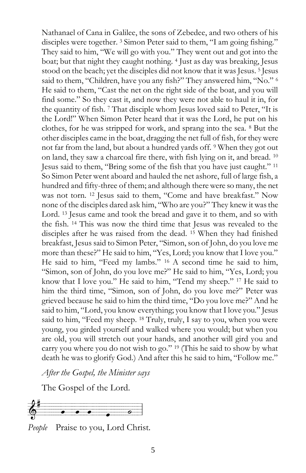Nathanael of Cana in Galilee, the sons of Zebedee, and two others of his disciples were together. <sup>3</sup> Simon Peter said to them, "I am going fishing." They said to him, "We will go with you." They went out and got into the boat; but that night they caught nothing. <sup>4</sup> Just as day was breaking, Jesus stood on the beach; yet the disciples did not know that it was Jesus. <sup>5</sup> Jesus said to them, "Children, have you any fish?" They answered him, "No." <sup>6</sup> He said to them, "Cast the net on the right side of the boat, and you will find some." So they cast it, and now they were not able to haul it in, for the quantity of fish. <sup>7</sup> That disciple whom Jesus loved said to Peter, "It is the Lord!" When Simon Peter heard that it was the Lord, he put on his clothes, for he was stripped for work, and sprang into the sea. <sup>8</sup> But the other disciples came in the boat, dragging the net full of fish, for they were not far from the land, but about a hundred yards off. <sup>9</sup> When they got out on land, they saw a charcoal fire there, with fish lying on it, and bread. <sup>10</sup> Jesus said to them, "Bring some of the fish that you have just caught." <sup>11</sup> So Simon Peter went aboard and hauled the net ashore, full of large fish, a hundred and fifty-three of them; and although there were so many, the net was not torn. <sup>12</sup> Jesus said to them, "Come and have breakfast." Now none of the disciples dared ask him, "Who are you?" They knew it was the Lord. <sup>13</sup> Jesus came and took the bread and gave it to them, and so with the fish. <sup>14</sup> This was now the third time that Jesus was revealed to the disciples after he was raised from the dead. <sup>15</sup> When they had finished breakfast, Jesus said to Simon Peter, "Simon, son of John, do you love me more than these?" He said to him, "Yes, Lord; you know that I love you." He said to him, "Feed my lambs." <sup>16</sup> A second time he said to him, "Simon, son of John, do you love me?" He said to him, "Yes, Lord; you know that I love you." He said to him, "Tend my sheep." <sup>17</sup> He said to him the third time, "Simon, son of John, do you love me?" Peter was grieved because he said to him the third time, "Do you love me?" And he said to him, "Lord, you know everything; you know that I love you." Jesus said to him, "Feed my sheep. <sup>18</sup> Truly, truly, I say to you, when you were young, you girded yourself and walked where you would; but when you are old, you will stretch out your hands, and another will gird you and carry you where you do not wish to go." <sup>19</sup> (This he said to show by what death he was to glorify God.) And after this he said to him, "Follow me."

*After the Gospel, the Minister says*

The Gospel of the Lord.



People Praise to you, Lord Christ.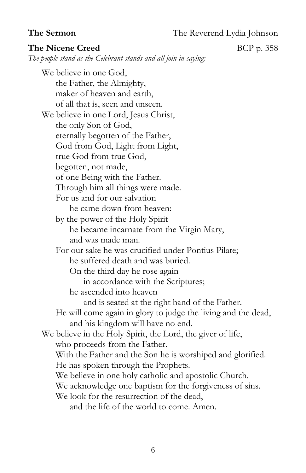#### **The Nicene Creed** BCP p. 358

*The people stand as the Celebrant stands and all join in saying:*

We believe in one God, the Father, the Almighty, maker of heaven and earth, of all that is, seen and unseen. We believe in one Lord, Jesus Christ, the only Son of God, eternally begotten of the Father, God from God, Light from Light, true God from true God, begotten, not made, of one Being with the Father. Through him all things were made. For us and for our salvation he came down from heaven: by the power of the Holy Spirit he became incarnate from the Virgin Mary, and was made man. For our sake he was crucified under Pontius Pilate; he suffered death and was buried. On the third day he rose again in accordance with the Scriptures; he ascended into heaven and is seated at the right hand of the Father. He will come again in glory to judge the living and the dead, and his kingdom will have no end. We believe in the Holy Spirit, the Lord, the giver of life, who proceeds from the Father. With the Father and the Son he is worshiped and glorified. He has spoken through the Prophets. We believe in one holy catholic and apostolic Church. We acknowledge one baptism for the forgiveness of sins. We look for the resurrection of the dead, and the life of the world to come. Amen.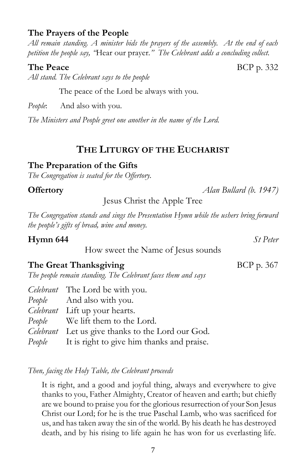# **The Prayers of the People**

*All remain standing. A minister bids the prayers of the assembly. At the end of each petition the people say, "*Hear our prayer*." The Celebrant adds a concluding collect.*

**The Peace** BCP p. 332

*All stand. The Celebrant says to the people*

The peace of the Lord be always with you.

*People*: And also with you.

*The Ministers and People greet one another in the name of the Lord.*

# **THE LITURGY OF THE EUCHARIST**

# **The Preparation of the Gifts**

*The Congregation is seated for the Offertory.* 

# **Offertory** *Alan Bullard (b. 1947)*

Jesus Christ the Apple Tree

*The Congregation stands and sings the Presentation Hymn while the ushers bring forward the people's gifts of bread, wine and money.*

# **Hymn 644** *St Peter*

How sweet the Name of Jesus sounds

# **The Great Thanksgiving** BCP p. 367

*The people remain standing. The Celebrant faces them and says*

| <i>Celebrant</i> The Lord be with you.                   |
|----------------------------------------------------------|
| <i>People</i> And also with you.                         |
| Celebrant Lift up your hearts.                           |
| <i>People</i> We lift them to the Lord.                  |
| <i>Celebrant</i> Let us give thanks to the Lord our God. |
| People It is right to give him thanks and praise.        |

# *Then, facing the Holy Table, the Celebrant proceeds*

It is right, and a good and joyful thing, always and everywhere to give thanks to you, Father Almighty, Creator of heaven and earth; but chiefly are we bound to praise you for the glorious resurrection of your Son Jesus Christ our Lord; for he is the true Paschal Lamb, who was sacrificed for us, and has taken away the sin of the world. By his death he has destroyed death, and by his rising to life again he has won for us everlasting life.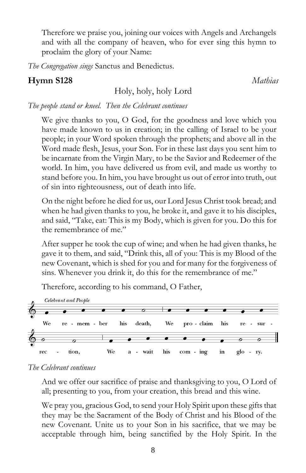Therefore we praise you, joining our voices with Angels and Archangels and with all the company of heaven, who for ever sing this hymn to proclaim the glory of your Name:

*The Congregation sings* Sanctus and Benedictus*.* 

# **Hymn S128** *Mathias*

# Holy, holy, holy Lord

*The people stand or kneel. Then the Celebrant continues*

We give thanks to you, O God, for the goodness and love which you have made known to us in creation; in the calling of Israel to be your people; in your Word spoken through the prophets; and above all in the Word made flesh, Jesus, your Son. For in these last days you sent him to be incarnate from the Virgin Mary, to be the Savior and Redeemer of the world. In him, you have delivered us from evil, and made us worthy to stand before you. In him, you have brought us out of error into truth, out of sin into righteousness, out of death into life.

On the night before he died for us, our Lord Jesus Christ took bread; and when he had given thanks to you, he broke it, and gave it to his disciples, and said, "Take, eat: This is my Body, which is given for you. Do this for the remembrance of me."

After supper he took the cup of wine; and when he had given thanks, he gave it to them, and said, "Drink this, all of you: This is my Blood of the new Covenant, which is shed for you and for many for the forgiveness of sins. Whenever you drink it, do this for the remembrance of me."



Therefore, according to his command, O Father,

*The Celebrant continues*

And we offer our sacrifice of praise and thanksgiving to you, O Lord of all; presenting to you, from your creation, this bread and this wine.

We pray you, gracious God, to send your Holy Spirit upon these gifts that they may be the Sacrament of the Body of Christ and his Blood of the new Covenant. Unite us to your Son in his sacrifice, that we may be acceptable through him, being sanctified by the Holy Spirit. In the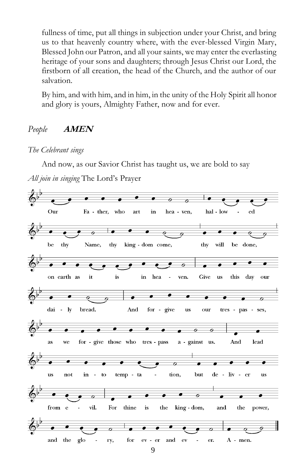fullness of time, put all things in subjection under your Christ, and bring us to that heavenly country where, with the ever-blessed Virgin Mary, Blessed John our Patron, and all your saints, we may enter the everlasting heritage of your sons and daughters; through Jesus Christ our Lord, the firstborn of all creation, the head of the Church, and the author of our salvation.

By him, and with him, and in him, in the unity of the Holy Spirit all honor and glory is yours, Almighty Father, now and for ever.

### *People* **AMEN**

#### *The Celebrant sings*

And now, as our Savior Christ has taught us, we are bold to say

*All join in singing* The Lord's Prayer

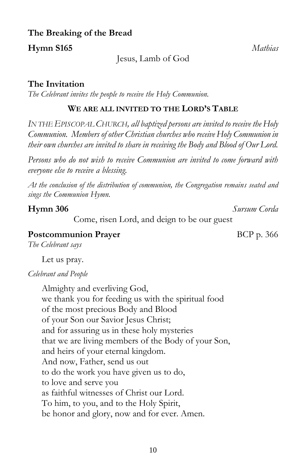# **The Breaking of the Bread**

# **Hymn S165** *Mathias*

# Jesus, Lamb of God

## **The Invitation**

*The Celebrant invites the people to receive the Holy Communion.*

### **WE ARE ALL INVITED TO THE LORD'S TABLE**

*IN THE EPISCOPAL CHURCH, all baptized persons are invited to receive the Holy Communion. Members of other Christian churches who receive Holy Communion in their own churches are invited to share in receiving the Body and Blood of Our Lord.* 

*Persons who do not wish to receive Communion are invited to come forward with everyone else to receive a blessing.*

*At the conclusion of the distribution of communion, the Congregation remains seated and sings the Communion Hymn.*

# **Hymn 306** *Sursum Corda*

Come, risen Lord, and deign to be our guest

## **Postcommunion Prayer** BCP p. 366

*The Celebrant says*

Let us pray.

### *Celebrant and People*

Almighty and everliving God, we thank you for feeding us with the spiritual food of the most precious Body and Blood of your Son our Savior Jesus Christ; and for assuring us in these holy mysteries that we are living members of the Body of your Son, and heirs of your eternal kingdom. And now, Father, send us out to do the work you have given us to do, to love and serve you as faithful witnesses of Christ our Lord. To him, to you, and to the Holy Spirit, be honor and glory, now and for ever. Amen.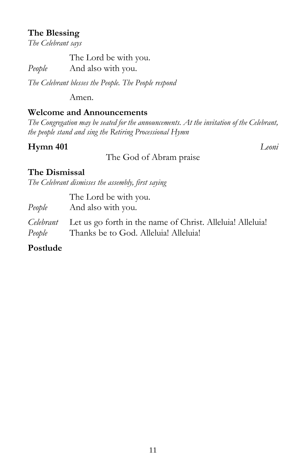# **The Blessing**

*The Celebrant says*

The Lord be with you.

*People* And also with you.

*The Celebrant blesses the People. The People respond*

Amen.

# **Welcome and Announcements**

*The Congregation may be seated for the announcements. At the invitation of the Celebrant, the people stand and sing the Retiring Processional Hymn*

# **Hymn 401** *Leoni*

# The God of Abram praise

# **The Dismissal**

*The Celebrant dismisses the assembly, first saying*

| People | The Lord be with you.<br>And also with you.                                                                          |
|--------|----------------------------------------------------------------------------------------------------------------------|
| People | <i>Celebrant</i> Let us go forth in the name of Christ. Alleluial Alleluial<br>Thanks be to God. Alleluia! Alleluia! |

# **Postlude**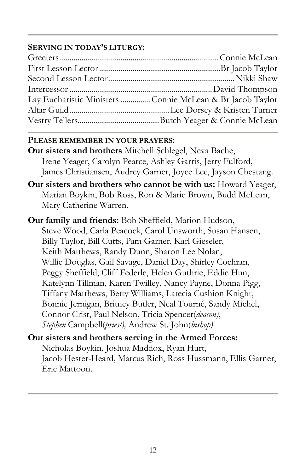# **SERVING IN TODAY'S LITURGY:**

| Lay Eucharistic Ministers Connie McLean & Br Jacob Taylor |
|-----------------------------------------------------------|
|                                                           |
|                                                           |

## **PLEASE REMEMBER IN YOUR PRAYERS:**

**Our sisters and brothers** Mitchell Schlegel, Neva Bache, Irene Yeager, Carolyn Pearce, Ashley Garris, Jerry Fulford, James Christiansen, Audrey Garner, Joyce Lee, Jayson Chestang.

**Our sisters and brothers who cannot be with us:** Howard Yeager, Marian Boykin, Bob Ross, Ron & Marie Brown, Budd McLean, Mary Catherine Warren.

**Our family and friends:** Bob Sheffield, Marion Hudson, Steve Wood, Carla Peacock, Carol Unsworth, Susan Hansen, Billy Taylor, Bill Cutts, Pam Garner, Karl Gieseler, Keith Matthews, Randy Dunn, Sharon Lee Nolan, Willie Douglas, Gail Savage, Daniel Day, Shirley Cochran, Peggy Sheffield, Cliff Federle, Helen Guthrie, Eddie Hun, Katelynn Tillman, Karen Twilley, Nancy Payne, Donna Pigg, Tiffany Matthews, Betty Williams, Latecia Cushion Knight, Bonnie Jernigan, Britney Butler, Neal Tourné, Sandy Michel, Connor Crist, Paul Nelson, Tricia Spencer(*deacon)*, *Stephen* Campbell(*priest),* Andrew St. John(*bishop)*

**Our sisters and brothers serving in the Armed Forces:**  Nicholas Boykin, Joshua Maddox, Ryan Hurt, Jacob Hester-Heard, Marcus Rich, Ross Hussmann, Ellis Garner, Eric Mattoon.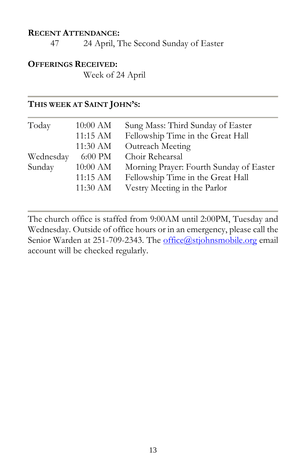# **RECENT ATTENDANCE:**

47 24 April, The Second Sunday of Easter

# **OFFERINGS RECEIVED:**

Week of 24 April

# **THIS WEEK AT SAINT JOHN'S:**

| Today     | $10:00 \text{ AM}$<br>$11:15 \text{ AM}$ | Sung Mass: Third Sunday of Easter<br>Fellowship Time in the Great Hall |
|-----------|------------------------------------------|------------------------------------------------------------------------|
|           |                                          |                                                                        |
|           | 11:30 AM                                 | Outreach Meeting                                                       |
| Wednesday | 6:00 PM                                  | Choir Rehearsal                                                        |
| Sunday    | $10:00$ AM                               | Morning Prayer: Fourth Sunday of Easter                                |
|           | 11:15 AM                                 | Fellowship Time in the Great Hall                                      |
|           | 11:30 AM                                 | Vestry Meeting in the Parlor                                           |

The church office is staffed from 9:00AM until 2:00PM, Tuesday and Wednesday. Outside of office hours or in an emergency, please call the Senior Warden at 251-709-2343. The [office@stjohnsmobile.org](mailto:office@stjohnsmobile.org) email account will be checked regularly.